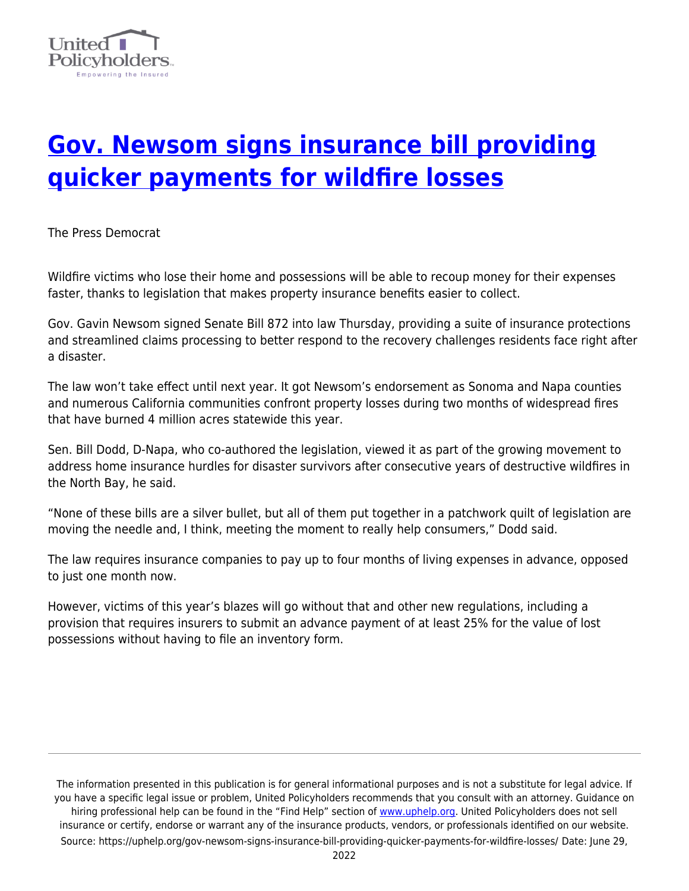

## **[Gov. Newsom signs insurance bill providing](https://uphelp.org/gov-newsom-signs-insurance-bill-providing-quicker-payments-for-wildfire-losses/) [quicker payments for wildfire losses](https://uphelp.org/gov-newsom-signs-insurance-bill-providing-quicker-payments-for-wildfire-losses/)**

The Press Democrat

Wildfire victims who lose their home and possessions will be able to recoup money for their expenses faster, thanks to legislation that makes property insurance benefits easier to collect.

Gov. Gavin Newsom signed Senate Bill 872 into law Thursday, providing a suite of insurance protections and streamlined claims processing to better respond to the recovery challenges residents face right after a disaster.

The law won't take effect until next year. It got Newsom's endorsement as Sonoma and Napa counties and numerous California communities confront property losses during two months of widespread fires that have burned 4 million acres statewide this year.

Sen. Bill Dodd, D-Napa, who co-authored the legislation, viewed it as part of the growing movement to address home insurance hurdles for disaster survivors after consecutive years of destructive wildfires in the North Bay, he said.

"None of these bills are a silver bullet, but all of them put together in a patchwork quilt of legislation are moving the needle and, I think, meeting the moment to really help consumers," Dodd said.

The law requires insurance companies to pay up to four months of living expenses in advance, opposed to just one month now.

However, victims of this year's blazes will go without that and other new regulations, including a provision that requires insurers to submit an advance payment of at least 25% for the value of lost possessions without having to file an inventory form.

The information presented in this publication is for general informational purposes and is not a substitute for legal advice. If you have a specific legal issue or problem, United Policyholders recommends that you consult with an attorney. Guidance on hiring professional help can be found in the "Find Help" section of [www.uphelp.org.](http://www.uphelp.org/) United Policyholders does not sell insurance or certify, endorse or warrant any of the insurance products, vendors, or professionals identified on our website. Source: https://uphelp.org/gov-newsom-signs-insurance-bill-providing-quicker-payments-for-wildfire-losses/ Date: June 29,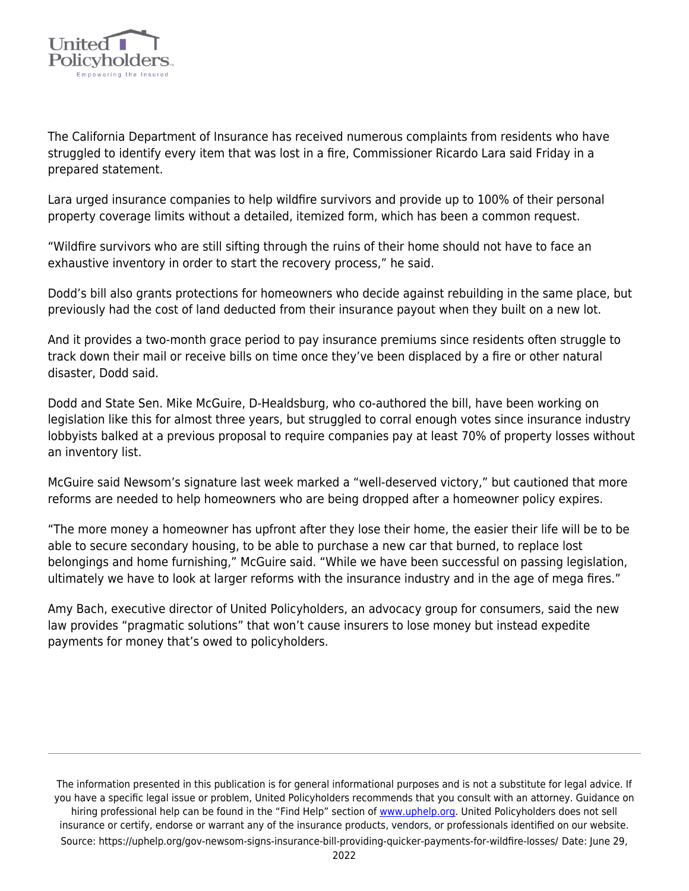

The California Department of Insurance has received numerous complaints from residents who have struggled to identify every item that was lost in a fire, Commissioner Ricardo Lara said Friday in a prepared statement.

Lara urged insurance companies to help wildfire survivors and provide up to 100% of their personal property coverage limits without a detailed, itemized form, which has been a common request.

"Wildfire survivors who are still sifting through the ruins of their home should not have to face an exhaustive inventory in order to start the recovery process," he said.

Dodd's bill also grants protections for homeowners who decide against rebuilding in the same place, but previously had the cost of land deducted from their insurance payout when they built on a new lot.

And it provides a two-month grace period to pay insurance premiums since residents often struggle to track down their mail or receive bills on time once they've been displaced by a fire or other natural disaster, Dodd said.

Dodd and State Sen. Mike McGuire, D-Healdsburg, who co-authored the bill, have been working on legislation like this for almost three years, but struggled to corral enough votes since insurance industry lobbyists balked at a previous proposal to require companies pay at least 70% of property losses without an inventory list.

McGuire said Newsom's signature last week marked a "well-deserved victory," but cautioned that more reforms are needed to help homeowners who are being dropped after a homeowner policy expires.

"The more money a homeowner has upfront after they lose their home, the easier their life will be to be able to secure secondary housing, to be able to purchase a new car that burned, to replace lost belongings and home furnishing," McGuire said. "While we have been successful on passing legislation, ultimately we have to look at larger reforms with the insurance industry and in the age of mega fires."

Amy Bach, executive director of United Policyholders, an advocacy group for consumers, said the new law provides "pragmatic solutions" that won't cause insurers to lose money but instead expedite payments for money that's owed to policyholders.

The information presented in this publication is for general informational purposes and is not a substitute for legal advice. If you have a specific legal issue or problem, United Policyholders recommends that you consult with an attorney. Guidance on hiring professional help can be found in the "Find Help" section of [www.uphelp.org.](http://www.uphelp.org/) United Policyholders does not sell insurance or certify, endorse or warrant any of the insurance products, vendors, or professionals identified on our website. Source: https://uphelp.org/gov-newsom-signs-insurance-bill-providing-quicker-payments-for-wildfire-losses/ Date: June 29,